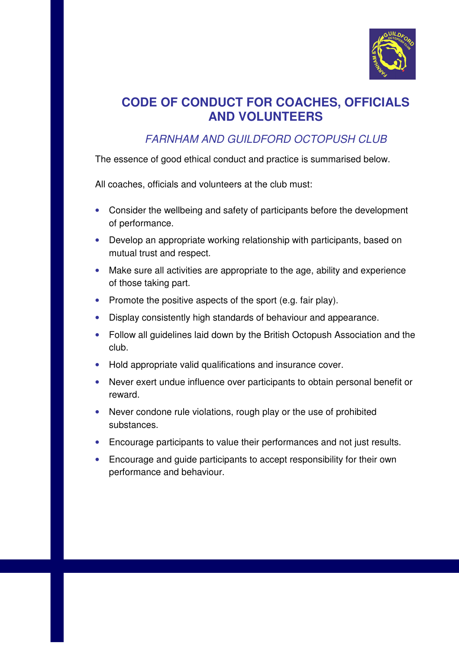

## **CODE OF CONDUCT FOR COACHES, OFFICIALS AND VOLUNTEERS**

## FARNHAM AND GUILDFORD OCTOPUSH CLUB

The essence of good ethical conduct and practice is summarised below.

All coaches, officials and volunteers at the club must:

- Consider the wellbeing and safety of participants before the development of performance.
- Develop an appropriate working relationship with participants, based on mutual trust and respect.
- Make sure all activities are appropriate to the age, ability and experience of those taking part.
- Promote the positive aspects of the sport (e.g. fair play).
- Display consistently high standards of behaviour and appearance.
- Follow all guidelines laid down by the British Octopush Association and the club.
- Hold appropriate valid qualifications and insurance cover.
- Never exert undue influence over participants to obtain personal benefit or reward.
- Never condone rule violations, rough play or the use of prohibited substances.
- Encourage participants to value their performances and not just results.
- Encourage and guide participants to accept responsibility for their own performance and behaviour.